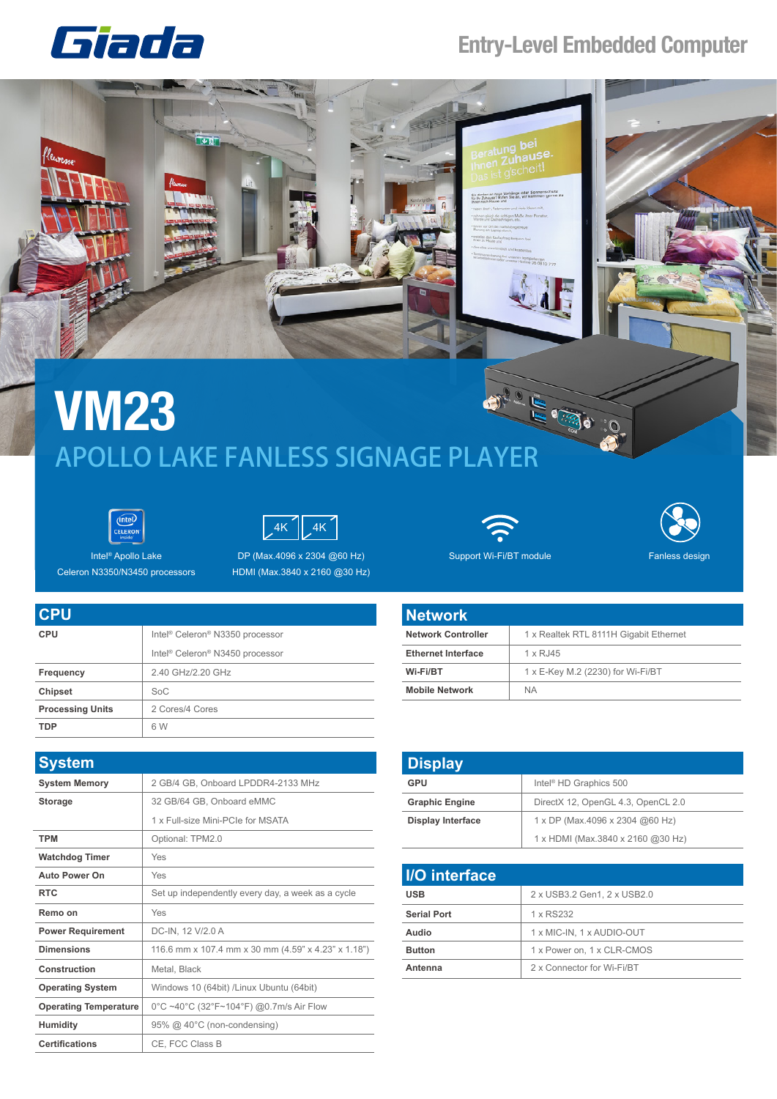## Giada

## **Entry-Level Embedded Computer**



## **VM23**<br>APOLLO LAKE FANLESS SIGNAGE PLAYER **VM23**





Intel® Apollo Lake Celeron N3350/N3450 processors

DP (Max.4096 x 2304 @60 Hz) Support Wi-Fi/BT module HDMI (Max.3840 x 2160 @30 Hz)



Fanless design

| <b>CPU</b>              |                                                         |
|-------------------------|---------------------------------------------------------|
| <b>CPU</b>              | Intel <sup>®</sup> Celeron <sup>®</sup> N3350 processor |
|                         | Intel <sup>®</sup> Celeron <sup>®</sup> N3450 processor |
| <b>Frequency</b>        | 2.40 GHz/2.20 GHz                                       |
| <b>Chipset</b>          | SoC                                                     |
| <b>Processing Units</b> | 2 Cores/4 Cores                                         |
| <b>TDP</b>              | 6 W                                                     |

| <b>System</b>                |                                                     |
|------------------------------|-----------------------------------------------------|
| <b>System Memory</b>         | 2 GB/4 GB, Onboard LPDDR4-2133 MHz                  |
| <b>Storage</b>               | 32 GB/64 GB, Onboard eMMC                           |
|                              | 1 x Full-size Mini-PCIe for MSATA                   |
| <b>TPM</b>                   | Optional: TPM2.0                                    |
| <b>Watchdog Timer</b>        | Yes                                                 |
| <b>Auto Power On</b>         | Yes                                                 |
| <b>RTC</b>                   | Set up independently every day, a week as a cycle   |
| Remo on                      | Yes                                                 |
| <b>Power Requirement</b>     | DC-IN, 12 V/2.0 A                                   |
| <b>Dimensions</b>            | 116.6 mm x 107.4 mm x 30 mm (4.59" x 4.23" x 1.18") |
| Construction                 | Metal, Black                                        |
| <b>Operating System</b>      | Windows 10 (64bit) /Linux Ubuntu (64bit)            |
| <b>Operating Temperature</b> | 0°C ~40°C (32°F~104°F) @0.7m/s Air Flow             |
| <b>Humidity</b>              | 95% @ 40°C (non-condensing)                         |
| <b>Certifications</b>        | CE, FCC Class B                                     |

| <b>Network</b>            |                                        |
|---------------------------|----------------------------------------|
| Network Controller        | 1 x Realtek RTL 8111H Gigabit Ethernet |
| <b>Ethernet Interface</b> | $1 \times R$ , 145                     |
| Wi-Fi/BT                  | 1 x E-Key M.2 (2230) for Wi-Fi/BT      |
| <b>Mobile Network</b>     | <b>NA</b>                              |

| <b>Display</b>           |                                    |
|--------------------------|------------------------------------|
| GPU                      | Intel <sup>®</sup> HD Graphics 500 |
| <b>Graphic Engine</b>    | DirectX 12, OpenGL 4.3, OpenCL 2.0 |
| <b>Display Interface</b> | 1 x DP (Max.4096 x 2304 @60 Hz)    |
|                          | 1 x HDMI (Max.3840 x 2160 @30 Hz)  |

| <b>I/O</b> interface |                             |
|----------------------|-----------------------------|
| <b>USB</b>           | 2 x USB3.2 Gen1, 2 x USB2.0 |
| <b>Serial Port</b>   | 1 x RS232                   |
| Audio                | 1 x MIC-IN, 1 x AUDIO-OUT   |
| <b>Button</b>        | 1 x Power on, 1 x CLR-CMOS  |
| Antenna              | 2 x Connector for Wi-Fi/BT  |